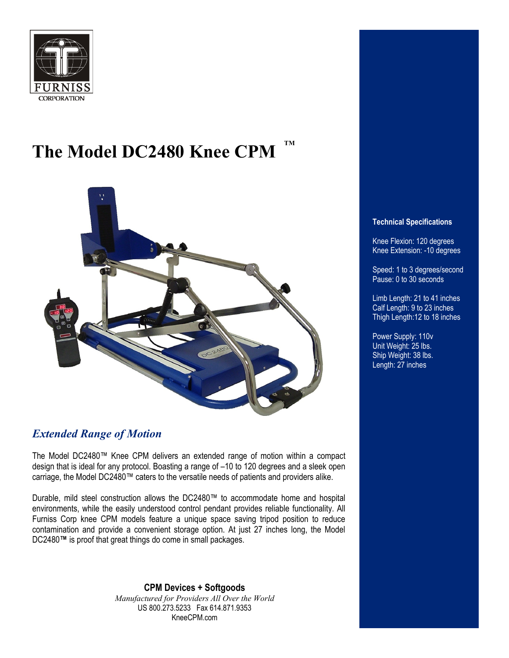

### **The Model DC2480 Knee CPM TM**



### *Extended Range of Motion*

The Model DC2480™ Knee CPM delivers an extended range of motion within a compact design that is ideal for any protocol. Boasting a range of –10 to 120 degrees and a sleek open carriage, the Model DC2480™ caters to the versatile needs of patients and providers alike.

Durable, mild steel construction allows the DC2480™ to accommodate home and hospital environments, while the easily understood control pendant provides reliable functionality. All Furniss Corp knee CPM models feature a unique space saving tripod position to reduce contamination and provide a convenient storage option. At just 27 inches long, the Model DC2480**™** is proof that great things do come in small packages.

> **CPM Devices + Softgoods** *Manufactured for Providers All Over the World*  US 800.273.5233 Fax 614.871.9353 KneeCPM.com

### **Technical Specifications**

Knee Flexion: 120 degrees Knee Extension: -10 degrees

Speed: 1 to 3 degrees/second Pause: 0 to 30 seconds

Limb Length: 21 to 41 inches Calf Length: 9 to 23 inches Thigh Length:12 to 18 inches

Power Supply: 110v Unit Weight: 25 lbs. Ship Weight: 38 lbs. Length: 27 inches